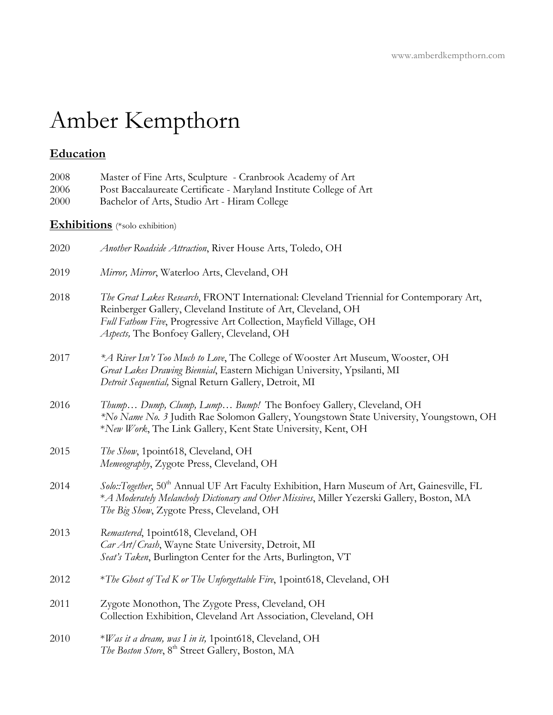# Amber Kempthorn

## **Education**

| 2008<br>2006<br>2000 | Master of Fine Arts, Sculpture - Cranbrook Academy of Art<br>Post Baccalaureate Certificate - Maryland Institute College of Art<br>Bachelor of Arts, Studio Art - Hiram College                                                                                                |
|----------------------|--------------------------------------------------------------------------------------------------------------------------------------------------------------------------------------------------------------------------------------------------------------------------------|
|                      | <b>Exhibitions</b> (*solo exhibition)                                                                                                                                                                                                                                          |
| 2020                 | Another Roadside Attraction, River House Arts, Toledo, OH                                                                                                                                                                                                                      |
| 2019                 | Mirror, Mirror, Waterloo Arts, Cleveland, OH                                                                                                                                                                                                                                   |
| 2018                 | The Great Lakes Research, FRONT International: Cleveland Triennial for Contemporary Art,<br>Reinberger Gallery, Cleveland Institute of Art, Cleveland, OH<br>Full Fathom Five, Progressive Art Collection, Mayfield Village, OH<br>Aspects, The Bonfoey Gallery, Cleveland, OH |
| 2017                 | *A River Isn't Too Much to Love, The College of Wooster Art Museum, Wooster, OH<br>Great Lakes Drawing Biennial, Eastern Michigan University, Ypsilanti, MI<br>Detroit Sequential, Signal Return Gallery, Detroit, MI                                                          |
| 2016                 | Thump Dump, Clump, Lump Bump! The Bonfoey Gallery, Cleveland, OH<br>*No Name No. 3 Judith Rae Solomon Gallery, Youngstown State University, Youngstown, OH<br>*New Work, The Link Gallery, Kent State University, Kent, OH                                                     |
| 2015                 | The Show, 1point618, Cleveland, OH<br>Memeography, Zygote Press, Cleveland, OH                                                                                                                                                                                                 |
| 2014                 | Solo::Together, 50 <sup>th</sup> Annual UF Art Faculty Exhibition, Harn Museum of Art, Gainesville, FL<br>*A Moderately Melancholy Dictionary and Other Missives, Miller Yezerski Gallery, Boston, MA<br>The Big Show, Zygote Press, Cleveland, OH                             |
| 2013                 | Remastered, 1point618, Cleveland, OH<br>Car Art/Crash, Wayne State University, Detroit, MI<br>Seat's Taken, Burlington Center for the Arts, Burlington, VT                                                                                                                     |
| 2012                 | *The Ghost of Ted K or The Unforgettable Fire, 1point618, Cleveland, OH                                                                                                                                                                                                        |
| 2011                 | Zygote Monothon, The Zygote Press, Cleveland, OH<br>Collection Exhibition, Cleveland Art Association, Cleveland, OH                                                                                                                                                            |
| 2010                 | *Was it a dream, was I in it, 1point618, Cleveland, OH<br>The Boston Store, 8 <sup>th</sup> Street Gallery, Boston, MA                                                                                                                                                         |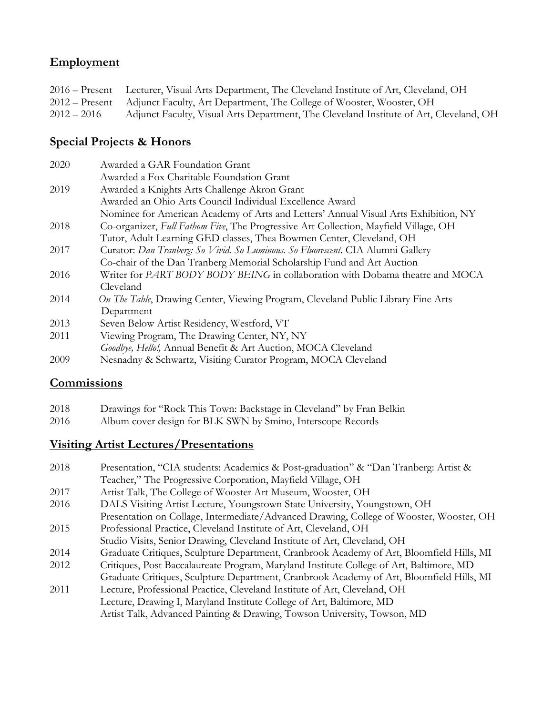#### **Employment**

|               | 2016 – Present Lecturer, Visual Arts Department, The Cleveland Institute of Art, Cleveland, OH |
|---------------|------------------------------------------------------------------------------------------------|
|               | 2012 – Present Adjunct Faculty, Art Department, The College of Wooster, Wooster, OH            |
| $2012 - 2016$ | Adjunct Faculty, Visual Arts Department, The Cleveland Institute of Art, Cleveland, OH         |

#### **Special Projects & Honors**

| 2020 | Awarded a GAR Foundation Grant                                                               |
|------|----------------------------------------------------------------------------------------------|
|      | Awarded a Fox Charitable Foundation Grant                                                    |
| 2019 | Awarded a Knights Arts Challenge Akron Grant                                                 |
|      | Awarded an Ohio Arts Council Individual Excellence Award                                     |
|      | Nominee for American Academy of Arts and Letters' Annual Visual Arts Exhibition, NY          |
| 2018 | Co-organizer, <i>Full Fathom Five</i> , The Progressive Art Collection, Mayfield Village, OH |
|      | Tutor, Adult Learning GED classes, Thea Bowmen Center, Cleveland, OH                         |
| 2017 | Curator: Dan Tranberg: So Vivid. So Luminous. So Fluorescent. CIA Alumni Gallery             |
|      | Co-chair of the Dan Tranberg Memorial Scholarship Fund and Art Auction                       |
| 2016 | Writer for PART BODY BODY BEING in collaboration with Dobama theatre and MOCA                |
|      | Cleveland                                                                                    |
| 2014 | On The Table, Drawing Center, Viewing Program, Cleveland Public Library Fine Arts            |
|      | Department                                                                                   |
| 2013 | Seven Below Artist Residency, Westford, VT                                                   |
| 2011 | Viewing Program, The Drawing Center, NY, NY                                                  |
|      | Goodbye, Hello!, Annual Benefit & Art Auction, MOCA Cleveland                                |
| 2009 | Nesnadny & Schwartz, Visiting Curator Program, MOCA Cleveland                                |

#### **Commissions**

- 2018 Drawings for "Rock This Town: Backstage in Cleveland" by Fran Belkin
- 2016 Album cover design for BLK SWN by Smino, Interscope Records

#### **Visiting Artist Lectures/Presentations**

- 2018 Presentation, "CIA students: Academics & Post-graduation" & "Dan Tranberg: Artist & Teacher," The Progressive Corporation, Mayfield Village, OH 2017 Artist Talk, The College of Wooster Art Museum, Wooster, OH 2016 DALS Visiting Artist Lecture, Youngstown State University, Youngstown, OH Presentation on Collage, Intermediate/Advanced Drawing, College of Wooster, Wooster, OH 2015 Professional Practice, Cleveland Institute of Art, Cleveland, OH Studio Visits, Senior Drawing, Cleveland Institute of Art, Cleveland, OH 2014 Graduate Critiques, Sculpture Department, Cranbrook Academy of Art, Bloomfield Hills, MI 2012 Critiques, Post Baccalaureate Program, Maryland Institute College of Art, Baltimore, MD Graduate Critiques, Sculpture Department, Cranbrook Academy of Art, Bloomfield Hills, MI 2011 Lecture, Professional Practice, Cleveland Institute of Art, Cleveland, OH
	- Lecture, Drawing I, Maryland Institute College of Art, Baltimore, MD Artist Talk, Advanced Painting & Drawing, Towson University, Towson, MD